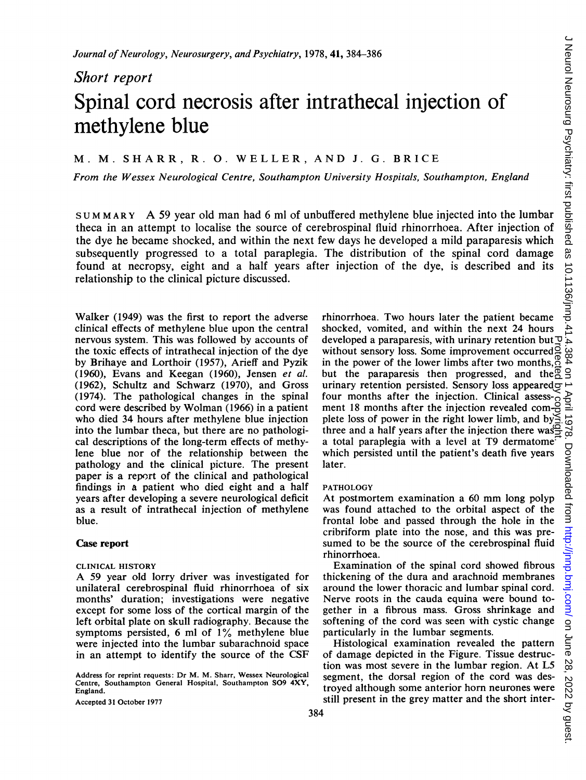Short report

# Spinal cord necrosis after intrathecal injection of methylene blue

# M. M. SHARR, R. 0. WELLER, AND J. G. BRICE

From the Wessex Neurological Centre, Southampton University Hospitals, Southampton, England

SUM M ARY A <sup>59</sup> year old man had <sup>6</sup> ml of unbuffered methylene blue injected into the lumbar theca in an attempt to localise the source of cerebrospinal fluid rhinorrhoea. After injection of the dye he became shocked, and within the next few days he developed a mild paraparesis which subsequently progressed to a total paraplegia. The distribution of the spinal cord damage found at necropsy, eight and a half years after injection of the dye, is described and its relationship to the clinical picture discussed.

Walker (1949) was the first to report the adverse clinical effects of methylene blue upon the central nervous system. This was followed by accounts of the toxic effects of intrathecal injection of the dye by Brihaye and Lorthoir (1957), Arieff and Pyzik (1960), Evans and Keegan (1960), Jensen et al. (1962), Schultz and Schwarz (1970), and Gross (1974). The pathological changes in the spinal cord were described by Wolman (1966) in a patient who died 34 hours after methylene blue injection into the lumbar theca, but there are no pathological descriptions of the long-term effects of methylene blue nor of the relationship between the pathology and the clinical picture. The present paper is a report of the clinical and pathological findings in a patient who died eight and a half years after developing a severe neurological deficit as a result of intrathecal injection of methylene blue.

# Case report

#### CLINICAL HISTORY

A <sup>59</sup> year old lorry driver was investigated for unilateral cerebrospinal fluid rhinorrhoea of six months' duration; investigations were negative except for some loss of the cortical margin of the left orbital plate on skull radiography. Because the symptoms persisted, 6 ml of 1% methylene blue were injected into the lumbar subarachnoid space in an attempt to identify the source of the CSF

Address for reprint requests: Dr M. M. Sharr, Wessex Neurological Centre, Southampton General Hospital, Southampton S09 4XY, England.

Accepted 31 October 1977

rhinorrhoea. Two hours later the patient became shocked, vomited, and within the next 24 hours developed a paraparesis, with urinary retention but  $\overline{\mathcal{Q}}$ without sensory loss. Some improvement occurred  $\beta$ in the power of the lower limbs after two months,  $\mathcal{R}$ but the paraparesis then progressed, and the  $\frac{1}{2}$   $\frac{1}{2}$ urinary retention persisted. Sensory loss appeared  $\overline{\sigma}$ four months after the injection. Clinical assessment 18 months after the injection revealed complete loss of power in the right lower limb, and by three and a half years after the injection there was a total paraplegia with a level at T9 dermatome which persisted until the patient's death five years later. developed a paraparesis, with urinary retention but the botomed a paraparesis without sensory loss. Some improvement occurred  $\frac{1}{8}$  in the power of the lower limbs after two months,  $\frac{1}{6}$  urinary retention persists

## PATHOLOGY

At postmortem examination <sup>a</sup> <sup>60</sup> mm long polyp was found attached to the orbital aspect of the frontal lobe and passed through the hole in the cribriform plate into the nose, and this was presumed to be the source of the cerebrospinal fluid rhinorrhoea.

Examination of the spinal cord showed fibrous thickening of the dura and arachnoid membranes around the lower thoracic and lumbar spinal cord. Nerve roots in the cauda equina were bound together in a fibrous mass. Gross shrinkage and softening of the cord was seen with cystic change particularly in the lumbar segments.

Histological examination revealed the pattern of damage depicted in the Figure. Tissue destruction was most severe in the lumbar region. At L5 segment, the dorsal region of the cord was destroyed although some anterior horn neurones were still present in the grey matter and the short inter-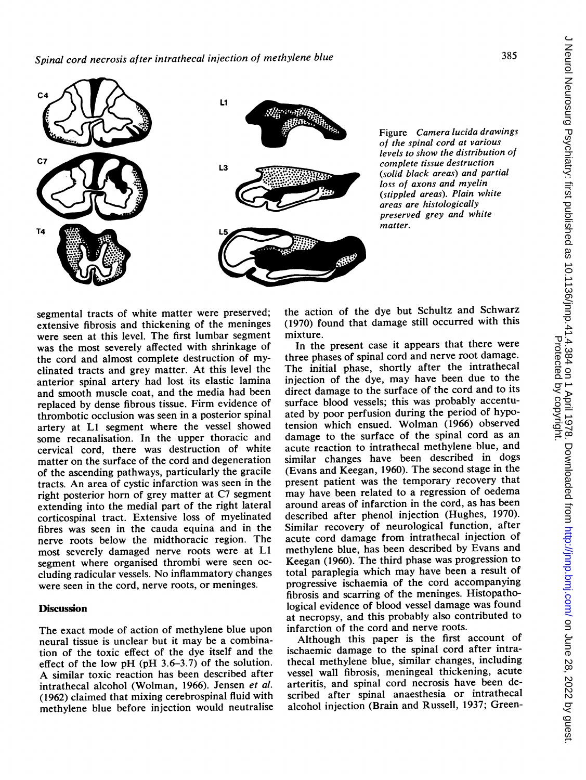

Figure Camera lucida drawings of the spinal cord at various levels to show the distribution of coinplete tissue destruction (solid black areas) and partial loss of axons and myelin (stippled areas). Plain white areas are histologically preserved grey and white matter.

segmental tracts of white matter were preserved; extensive fibrosis and thickening of the meninges were seen at this level. The first lumbar segment was the most severely affected with shrinkage of the cord and almost complete destruction of myelinated tracts and grey matter. At this level the anterior spinal artery had lost its elastic lamina and smooth muscle coat, and the media had been replaced by dense fibrous tissue. Firm evidence of thrombotic occlusion was seen in a posterior spinal artery at LI segment where the vessel showed some recanalisation. In the upper thoracic and cervical cord, there was destruction of white matter on the surface of the cord and degeneration of the ascending pathways, particularly the gracile tracts. An area of cystic infarction was seen in the right posterior horn of grey matter at C7 segment extending into the medial part of the right lateral corticospinal tract. Extensive loss of myelinated fibres was seen in the cauda equina and in the nerve roots below the midthoracic region. The most severely damaged nerve roots were at LI segment where organised thrombi were seen occluding radicular vessels. No inflammatory changes were seen in the cord, nerve roots, or meninges.

### **Discussion**

The exact mode of action of methylene blue upon neural tissue is unclear but it may be a combination of the toxic effect of the dye itself and the effect of the low pH (pH 3.6-3.7) of the solution. A similar toxic reaction has been described after intrathecal alcohol (Wolman, 1966). Jensen et al. (1962) claimed that mixing cerebrospinal fluid with methylene blue before injection would neutralise the action of the dye but Schultz and Schwarz (1970) found that damage still occurred with this mixture.

In the present case it appears that there were three phases of spinal cord and nerve root damage. The initial phase, shortly after the intrathecal injection of the dye, may have been due to the direct damage to the surface of the cord and to its surface blood vessels; this was probably accentuated by poor perfusion during the period of hypotension which ensued. Wolman (1966) observed damage to the surface of the spinal cord as an acute reaction to intrathecal methylene blue, and similar changes have been described in dogs (Evans and Keegan, 1960). The second stage in the present patient was the temporary recovery that may have been related to <sup>a</sup> regression of oedema around areas of infarction in the cord, as has been described after phenol injection (Hughes, 1970). Similar recovery of neurological function, after acute cord damage from intrathecal injection of methylene blue, has been described by Evans and Keegan (1960). The third phase was progression to total paraplegia which may have been a result of progressive ischaemia of the cord accompanying fibrosis and scarring of the meninges. Histopathological evidence of blood vessel damage was found at necropsy, and this probably also contributed to infarction of the cord and nerve roots.

Although this paper is the first account of ischaemic damage to the spinal cord after intrathecal methylene blue, similar changes, including vessel wall fibrosis, meningeal thickening, acute arteritis, and spinal cord necrosis have been described after spinal anaesthesia or intrathecal alcohol injection (Brain and Russell, 1937; Green